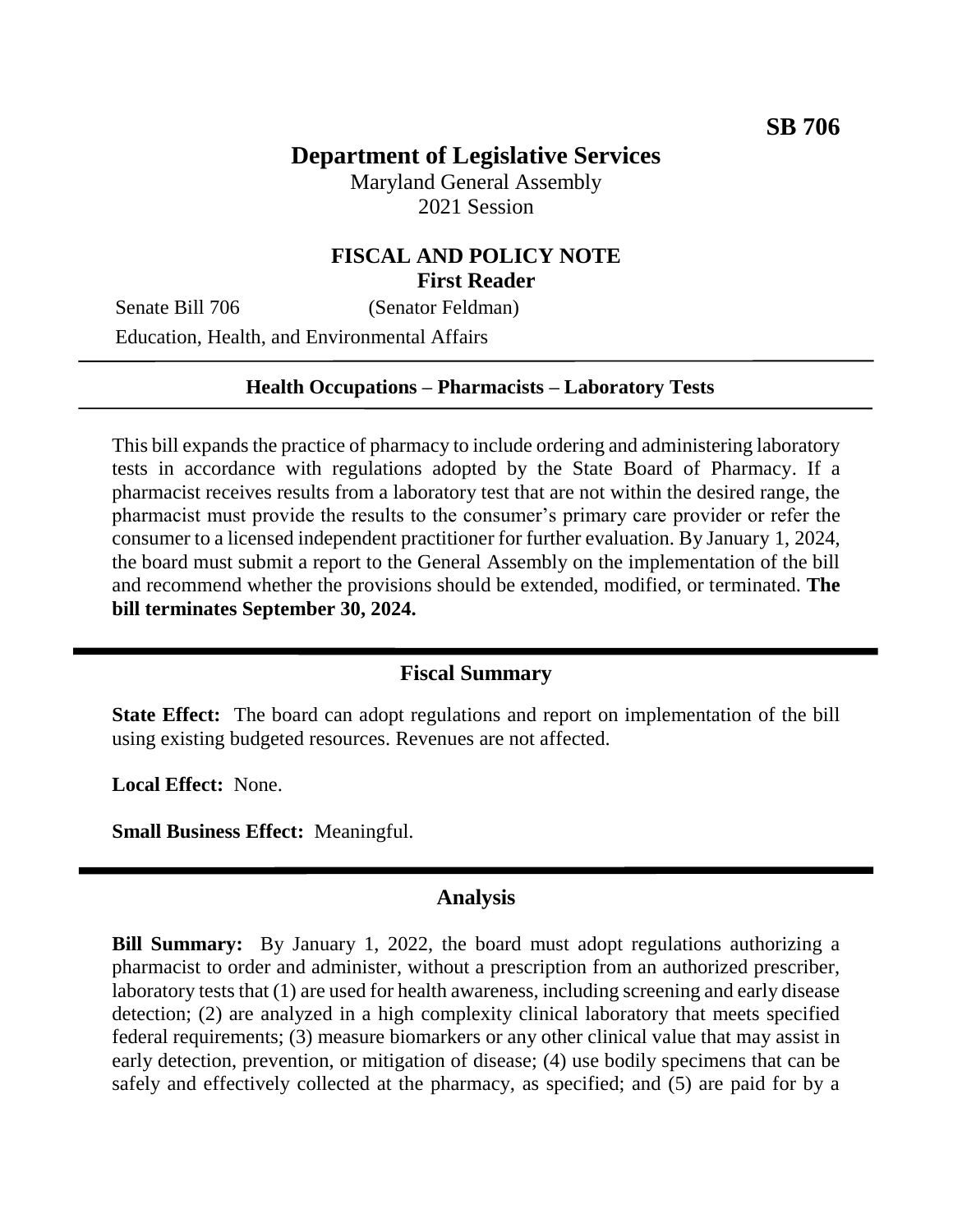# **Department of Legislative Services**

Maryland General Assembly 2021 Session

### **FISCAL AND POLICY NOTE First Reader**

Senate Bill 706 (Senator Feldman) Education, Health, and Environmental Affairs

### **Health Occupations – Pharmacists – Laboratory Tests**

This bill expands the practice of pharmacy to include ordering and administering laboratory tests in accordance with regulations adopted by the State Board of Pharmacy. If a pharmacist receives results from a laboratory test that are not within the desired range, the pharmacist must provide the results to the consumer's primary care provider or refer the consumer to a licensed independent practitioner for further evaluation. By January 1, 2024, the board must submit a report to the General Assembly on the implementation of the bill and recommend whether the provisions should be extended, modified, or terminated. **The bill terminates September 30, 2024.**

#### **Fiscal Summary**

**State Effect:** The board can adopt regulations and report on implementation of the bill using existing budgeted resources. Revenues are not affected.

**Local Effect:** None.

**Small Business Effect:** Meaningful.

#### **Analysis**

**Bill Summary:** By January 1, 2022, the board must adopt regulations authorizing a pharmacist to order and administer, without a prescription from an authorized prescriber, laboratory tests that (1) are used for health awareness, including screening and early disease detection; (2) are analyzed in a high complexity clinical laboratory that meets specified federal requirements; (3) measure biomarkers or any other clinical value that may assist in early detection, prevention, or mitigation of disease; (4) use bodily specimens that can be safely and effectively collected at the pharmacy, as specified; and (5) are paid for by a